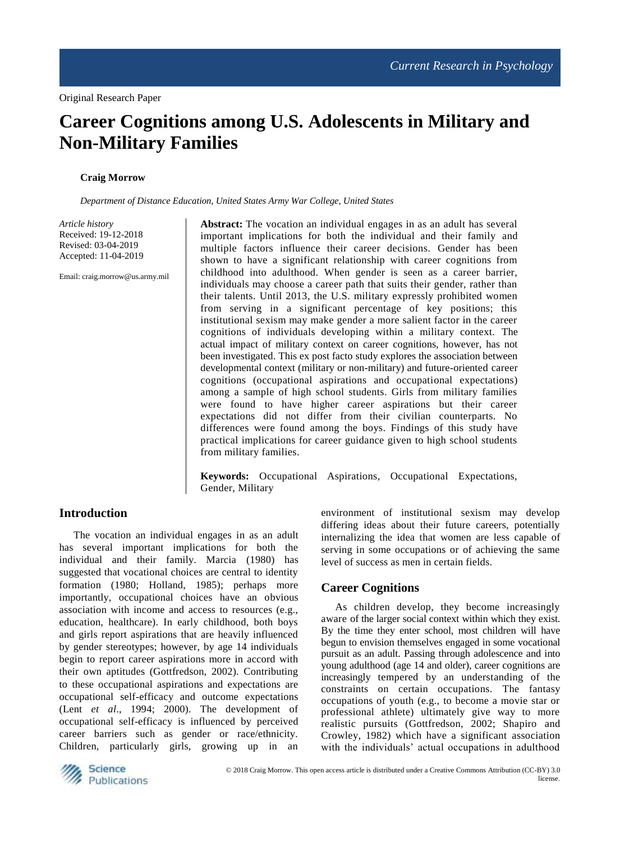# **Career Cognitions among U.S. Adolescents in Military and Non-Military Families**

#### **Craig Morrow**

*Department of Distance Education, United States Army War College, United States*

*Article history* Received: 19-12-2018 Revised: 03-04-2019 Accepted: 11-04-2019

Email: craig.morrow@us.army.mil

**Abstract:** The vocation an individual engages in as an adult has several important implications for both the individual and their family and multiple factors influence their career decisions. Gender has been shown to have a significant relationship with career cognitions from childhood into adulthood. When gender is seen as a career barrier, individuals may choose a career path that suits their gender, rather than their talents. Until 2013, the U.S. military expressly prohibited women from serving in a significant percentage of key positions; this institutional sexism may make gender a more salient factor in the career cognitions of individuals developing within a military context. The actual impact of military context on career cognitions, however, has not been investigated. This ex post facto study explores the association between developmental context (military or non-military) and future-oriented career cognitions (occupational aspirations and occupational expectations) among a sample of high school students. Girls from military families were found to have higher career aspirations but their career expectations did not differ from their civilian counterparts. No differences were found among the boys. Findings of this study have practical implications for career guidance given to high school students from military families.

**Keywords:** Occupational Aspirations, Occupational Expectations, Gender, Military

## **Introduction**

The vocation an individual engages in as an adult has several important implications for both the individual and their family. Marcia (1980) has suggested that vocational choices are central to identity formation (1980; Holland, 1985); perhaps more importantly, occupational choices have an obvious association with income and access to resources (e.g., education, healthcare). In early childhood, both boys and girls report aspirations that are heavily influenced by gender stereotypes; however, by age 14 individuals begin to report career aspirations more in accord with their own aptitudes (Gottfredson, 2002). Contributing to these occupational aspirations and expectations are occupational self-efficacy and outcome expectations (Lent *et al*., 1994; 2000). The development of occupational self-efficacy is influenced by perceived career barriers such as gender or race/ethnicity. Children, particularly girls, growing up in an

environment of institutional sexism may develop differing ideas about their future careers, potentially internalizing the idea that women are less capable of serving in some occupations or of achieving the same level of success as men in certain fields.

## **Career Cognitions**

As children develop, they become increasingly aware of the larger social context within which they exist. By the time they enter school, most children will have begun to envision themselves engaged in some vocational pursuit as an adult. Passing through adolescence and into young adulthood (age 14 and older), career cognitions are increasingly tempered by an understanding of the constraints on certain occupations. The fantasy occupations of youth (e.g., to become a movie star or professional athlete) ultimately give way to more realistic pursuits (Gottfredson, 2002; Shapiro and Crowley, 1982) which have a significant association with the individuals' actual occupations in adulthood

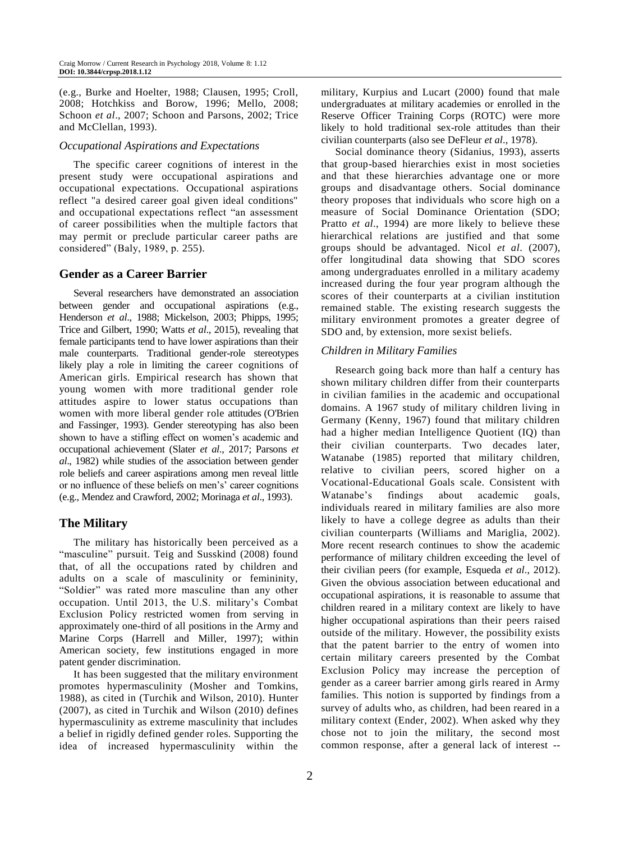(e.g., Burke and Hoelter, 1988; Clausen, 1995; Croll, 2008; Hotchkiss and Borow, 1996; Mello, 2008; Schoon *et al*., 2007; Schoon and Parsons, 2002; Trice and McClellan, 1993).

#### *Occupational Aspirations and Expectations*

The specific career cognitions of interest in the present study were occupational aspirations and occupational expectations. Occupational aspirations reflect "a desired career goal given ideal conditions" and occupational expectations reflect "an assessment of career possibilities when the multiple factors that may permit or preclude particular career paths are considered" (Baly, 1989, p. 255).

#### **Gender as a Career Barrier**

Several researchers have demonstrated an association between gender and occupational aspirations (e.g., Henderson *et al*., 1988; Mickelson, 2003; Phipps, 1995; Trice and Gilbert, 1990; Watts *et al*., 2015), revealing that female participants tend to have lower aspirations than their male counterparts. Traditional gender-role stereotypes likely play a role in limiting the career cognitions of American girls. Empirical research has shown that young women with more traditional gender role attitudes aspire to lower status occupations than women with more liberal gender role attitudes (O'Brien and Fassinger, 1993). Gender stereotyping has also been shown to have a stifling effect on women's academic and occupational achievement (Slater *et al*., 2017; Parsons *et al*., 1982) while studies of the association between gender role beliefs and career aspirations among men reveal little or no influence of these beliefs on men's' career cognitions (e.g., Mendez and Crawford, 2002; Morinaga *et al*., 1993).

## **The Military**

The military has historically been perceived as a "masculine" pursuit. Teig and Susskind (2008) found that, of all the occupations rated by children and adults on a scale of masculinity or femininity, "Soldier" was rated more masculine than any other occupation. Until 2013, the U.S. military's Combat Exclusion Policy restricted women from serving in approximately one-third of all positions in the Army and Marine Corps (Harrell and Miller, 1997); within American society, few institutions engaged in more patent gender discrimination.

It has been suggested that the military environment promotes hypermasculinity (Mosher and Tomkins, 1988), as cited in (Turchik and Wilson, 2010). Hunter (2007), as cited in Turchik and Wilson (2010) defines hypermasculinity as extreme masculinity that includes a belief in rigidly defined gender roles. Supporting the idea of increased hypermasculinity within the military, Kurpius and Lucart (2000) found that male undergraduates at military academies or enrolled in the Reserve Officer Training Corps (ROTC) were more likely to hold traditional sex-role attitudes than their civilian counterparts (also see DeFleur *et al*., 1978).

Social dominance theory (Sidanius, 1993), asserts that group-based hierarchies exist in most societies and that these hierarchies advantage one or more groups and disadvantage others. Social dominance theory proposes that individuals who score high on a measure of Social Dominance Orientation (SDO; Pratto *et al*., 1994) are more likely to believe these hierarchical relations are justified and that some groups should be advantaged. Nicol *et al*. (2007), offer longitudinal data showing that SDO scores among undergraduates enrolled in a military academy increased during the four year program although the scores of their counterparts at a civilian institution remained stable. The existing research suggests the military environment promotes a greater degree of SDO and, by extension, more sexist beliefs.

#### *Children in Military Families*

Research going back more than half a century has shown military children differ from their counterparts in civilian families in the academic and occupational domains. A 1967 study of military children living in Germany (Kenny, 1967) found that military children had a higher median Intelligence Quotient (IQ) than their civilian counterparts. Two decades later, Watanabe (1985) reported that military children, relative to civilian peers, scored higher on a Vocational-Educational Goals scale. Consistent with Watanabe's findings about academic goals, individuals reared in military families are also more likely to have a college degree as adults than their civilian counterparts (Williams and Mariglia, 2002). More recent research continues to show the academic performance of military children exceeding the level of their civilian peers (for example, Esqueda *et al*., 2012). Given the obvious association between educational and occupational aspirations, it is reasonable to assume that children reared in a military context are likely to have higher occupational aspirations than their peers raised outside of the military. However, the possibility exists that the patent barrier to the entry of women into certain military careers presented by the Combat Exclusion Policy may increase the perception of gender as a career barrier among girls reared in Army families. This notion is supported by findings from a survey of adults who, as children, had been reared in a military context (Ender, 2002). When asked why they chose not to join the military, the second most common response, after a general lack of interest --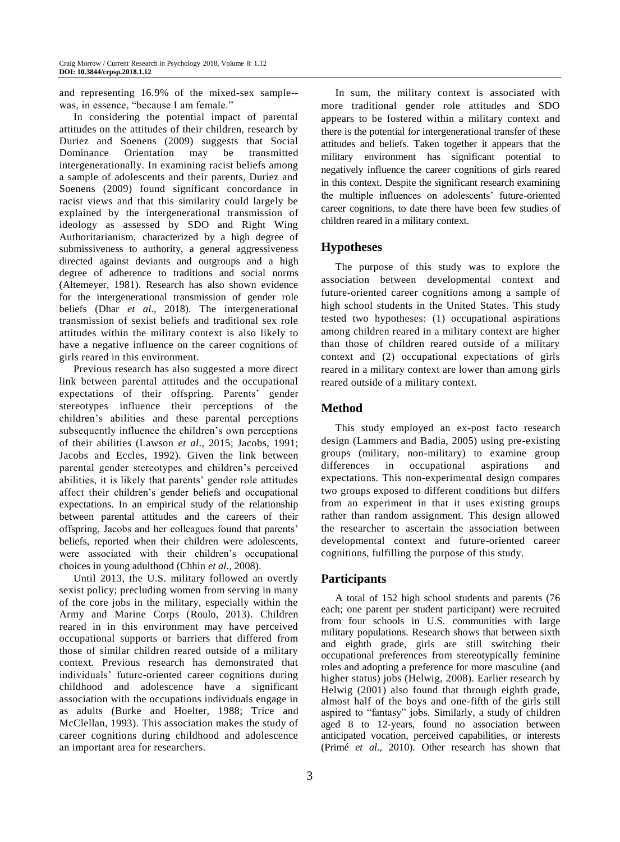and representing 16.9% of the mixed-sex sample- was, in essence, "because I am female."

In considering the potential impact of parental attitudes on the attitudes of their children, research by Duriez and Soenens (2009) suggests that Social Dominance Orientation may be transmitted intergenerationally. In examining racist beliefs among a sample of adolescents and their parents, Duriez and Soenens (2009) found significant concordance in racist views and that this similarity could largely be explained by the intergenerational transmission of ideology as assessed by SDO and Right Wing Authoritarianism, characterized by a high degree of submissiveness to authority, a general aggressiveness directed against deviants and outgroups and a high degree of adherence to traditions and social norms (Altemeyer, 1981). Research has also shown evidence for the intergenerational transmission of gender role beliefs (Dhar *et al*., 2018). The intergenerational transmission of sexist beliefs and traditional sex role attitudes within the military context is also likely to have a negative influence on the career cognitions of girls reared in this environment.

Previous research has also suggested a more direct link between parental attitudes and the occupational expectations of their offspring. Parents' gender stereotypes influence their perceptions of the children's abilities and these parental perceptions subsequently influence the children's own perceptions of their abilities (Lawson *et al*., 2015; Jacobs, 1991; Jacobs and Eccles, 1992). Given the link between parental gender stereotypes and children's perceived abilities, it is likely that parents' gender role attitudes affect their children's gender beliefs and occupational expectations. In an empirical study of the relationship between parental attitudes and the careers of their offspring, Jacobs and her colleagues found that parents' beliefs, reported when their children were adolescents, were associated with their children's occupational choices in young adulthood (Chhin *et al*., 2008).

Until 2013, the U.S. military followed an overtly sexist policy; precluding women from serving in many of the core jobs in the military, especially within the Army and Marine Corps (Roulo, 2013). Children reared in in this environment may have perceived occupational supports or barriers that differed from those of similar children reared outside of a military context. Previous research has demonstrated that individuals' future-oriented career cognitions during childhood and adolescence have a significant association with the occupations individuals engage in as adults (Burke and Hoelter, 1988; Trice and McClellan, 1993). This association makes the study of career cognitions during childhood and adolescence an important area for researchers.

In sum, the military context is associated with more traditional gender role attitudes and SDO appears to be fostered within a military context and there is the potential for intergenerational transfer of these attitudes and beliefs. Taken together it appears that the military environment has significant potential to negatively influence the career cognitions of girls reared in this context. Despite the significant research examining the multiple influences on adolescents' future-oriented career cognitions, to date there have been few studies of children reared in a military context.

# **Hypotheses**

The purpose of this study was to explore the association between developmental context and future-oriented career cognitions among a sample of high school students in the United States. This study tested two hypotheses: (1) occupational aspirations among children reared in a military context are higher than those of children reared outside of a military context and (2) occupational expectations of girls reared in a military context are lower than among girls reared outside of a military context.

# **Method**

This study employed an ex-post facto research design (Lammers and Badia, 2005) using pre-existing groups (military, non-military) to examine group differences in occupational aspirations and expectations. This non-experimental design compares two groups exposed to different conditions but differs from an experiment in that it uses existing groups rather than random assignment. This design allowed the researcher to ascertain the association between developmental context and future-oriented career cognitions, fulfilling the purpose of this study.

## **Participants**

A total of 152 high school students and parents (76 each; one parent per student participant) were recruited from four schools in U.S. communities with large military populations. Research shows that between sixth and eighth grade, girls are still switching their occupational preferences from stereotypically feminine roles and adopting a preference for more masculine (and higher status) jobs (Helwig, 2008). Earlier research by Helwig (2001) also found that through eighth grade, almost half of the boys and one-fifth of the girls still aspired to "fantasy" jobs. Similarly, a study of children aged 8 to 12-years, found no association between anticipated vocation, perceived capabilities, or interests (Primé *et al*., 2010). Other research has shown that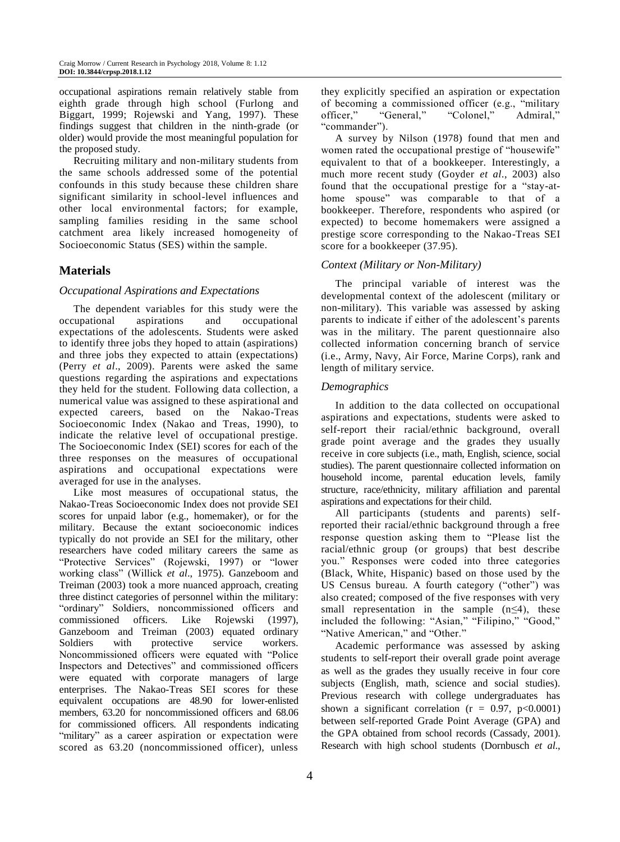occupational aspirations remain relatively stable from eighth grade through high school (Furlong and Biggart, 1999; Rojewski and Yang, 1997). These findings suggest that children in the ninth-grade (or older) would provide the most meaningful population for the proposed study.

Recruiting military and non-military students from the same schools addressed some of the potential confounds in this study because these children share significant similarity in school-level influences and other local environmental factors; for example, sampling families residing in the same school catchment area likely increased homogeneity of Socioeconomic Status (SES) within the sample.

# **Materials**

## *Occupational Aspirations and Expectations*

The dependent variables for this study were the occupational aspirations and occupational expectations of the adolescents. Students were asked to identify three jobs they hoped to attain (aspirations) and three jobs they expected to attain (expectations) (Perry *et al*., 2009). Parents were asked the same questions regarding the aspirations and expectations they held for the student. Following data collection, a numerical value was assigned to these aspirational and expected careers, based on the Nakao-Treas Socioeconomic Index (Nakao and Treas, 1990), to indicate the relative level of occupational prestige. The Socioeconomic Index (SEI) scores for each of the three responses on the measures of occupational aspirations and occupational expectations were averaged for use in the analyses.

Like most measures of occupational status, the Nakao-Treas Socioeconomic Index does not provide SEI scores for unpaid labor (e.g., homemaker), or for the military. Because the extant socioeconomic indices typically do not provide an SEI for the military, other researchers have coded military careers the same as "Protective Services" (Rojewski, 1997) or "lower working class" (Willick *et al*., 1975). Ganzeboom and Treiman (2003) took a more nuanced approach, creating three distinct categories of personnel within the military: "ordinary" Soldiers, noncommissioned officers and commissioned officers. Like Rojewski (1997), Ganzeboom and Treiman (2003) equated ordinary Soldiers with protective service workers. Noncommissioned officers were equated with "Police Inspectors and Detectives" and commissioned officers were equated with corporate managers of large enterprises. The Nakao-Treas SEI scores for these equivalent occupations are 48.90 for lower-enlisted members, 63.20 for noncommissioned officers and 68.06 for commissioned officers. All respondents indicating "military" as a career aspiration or expectation were scored as 63.20 (noncommissioned officer), unless

they explicitly specified an aspiration or expectation of becoming a commissioned officer (e.g., "military officer," "General," "Colonel," Admiral," "commander").

A survey by Nilson (1978) found that men and women rated the occupational prestige of "housewife" equivalent to that of a bookkeeper. Interestingly, a much more recent study (Goyder *et al*., 2003) also found that the occupational prestige for a "stay-athome spouse" was comparable to that of a bookkeeper. Therefore, respondents who aspired (or expected) to become homemakers were assigned a prestige score corresponding to the Nakao-Treas SEI score for a bookkeeper (37.95).

## *Context (Military or Non-Military)*

The principal variable of interest was the developmental context of the adolescent (military or non-military). This variable was assessed by asking parents to indicate if either of the adolescent's parents was in the military. The parent questionnaire also collected information concerning branch of service (i.e., Army, Navy, Air Force, Marine Corps), rank and length of military service.

#### *Demographics*

In addition to the data collected on occupational aspirations and expectations, students were asked to self-report their racial/ethnic background, overall grade point average and the grades they usually receive in core subjects (i.e., math, English, science, social studies). The parent questionnaire collected information on household income, parental education levels, family structure, race/ethnicity, military affiliation and parental aspirations and expectations for their child.

All participants (students and parents) selfreported their racial/ethnic background through a free response question asking them to "Please list the racial/ethnic group (or groups) that best describe you." Responses were coded into three categories (Black, White, Hispanic) based on those used by the US Census bureau. A fourth category ("other") was also created; composed of the five responses with very small representation in the sample  $(n \leq 4)$ , these included the following: "Asian," "Filipino," "Good," "Native American," and "Other."

Academic performance was assessed by asking students to self-report their overall grade point average as well as the grades they usually receive in four core subjects (English, math, science and social studies). Previous research with college undergraduates has shown a significant correlation ( $r = 0.97$ ,  $p < 0.0001$ ) between self-reported Grade Point Average (GPA) and the GPA obtained from school records (Cassady, 2001). Research with high school students (Dornbusch *et al*.,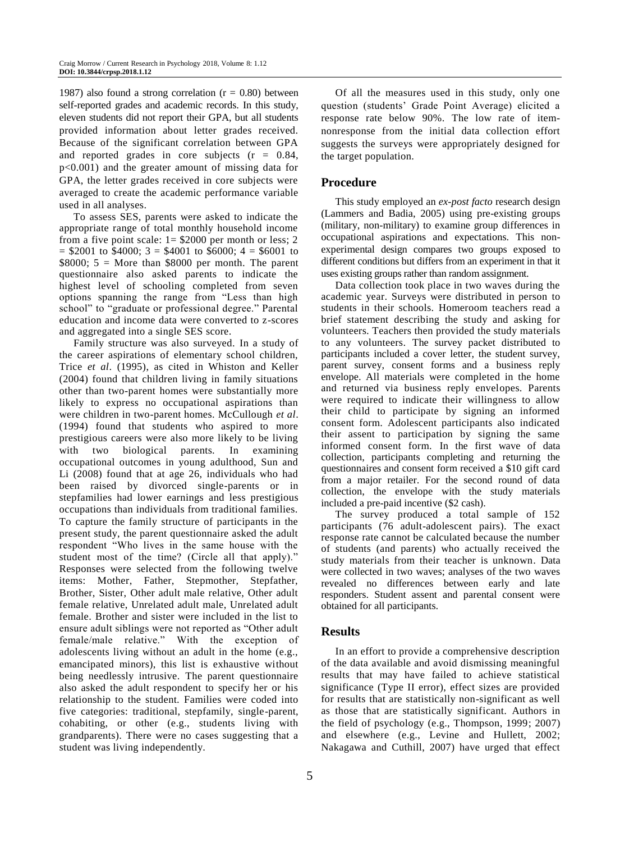1987) also found a strong correlation ( $r = 0.80$ ) between self-reported grades and academic records. In this study, eleven students did not report their GPA, but all students provided information about letter grades received. Because of the significant correlation between GPA and reported grades in core subjects  $(r = 0.84,$ p<0.001) and the greater amount of missing data for GPA, the letter grades received in core subjects were averaged to create the academic performance variable used in all analyses.

To assess SES, parents were asked to indicate the appropriate range of total monthly household income from a five point scale:  $1 = $2000$  per month or less; 2  $=$  \$2001 to \$4000; 3 = \$4001 to \$6000; 4 = \$6001 to  $$8000; 5 = More than $8000 per month. The parent$ questionnaire also asked parents to indicate the highest level of schooling completed from seven options spanning the range from "Less than high school" to "graduate or professional degree." Parental education and income data were converted to z-scores and aggregated into a single SES score.

Family structure was also surveyed. In a study of the career aspirations of elementary school children, Trice *et al*. (1995), as cited in Whiston and Keller (2004) found that children living in family situations other than two-parent homes were substantially more likely to express no occupational aspirations than were children in two-parent homes. McCullough *et al*. (1994) found that students who aspired to more prestigious careers were also more likely to be living with two biological parents. In examining occupational outcomes in young adulthood, Sun and Li (2008) found that at age 26, individuals who had been raised by divorced single-parents or in stepfamilies had lower earnings and less prestigious occupations than individuals from traditional families. To capture the family structure of participants in the present study, the parent questionnaire asked the adult respondent "Who lives in the same house with the student most of the time? (Circle all that apply)." Responses were selected from the following twelve items: Mother, Father, Stepmother, Stepfather, Brother, Sister, Other adult male relative, Other adult female relative, Unrelated adult male, Unrelated adult female. Brother and sister were included in the list to ensure adult siblings were not reported as "Other adult female/male relative." With the exception of adolescents living without an adult in the home (e.g., emancipated minors), this list is exhaustive without being needlessly intrusive. The parent questionnaire also asked the adult respondent to specify her or his relationship to the student. Families were coded into five categories: traditional, stepfamily, single-parent, cohabiting, or other (e.g., students living with grandparents). There were no cases suggesting that a student was living independently.

5

Of all the measures used in this study, only one question (students' Grade Point Average) elicited a response rate below 90%. The low rate of itemnonresponse from the initial data collection effort suggests the surveys were appropriately designed for the target population.

## **Procedure**

This study employed an *ex-post facto* research design (Lammers and Badia, 2005) using pre-existing groups (military, non-military) to examine group differences in occupational aspirations and expectations. This nonexperimental design compares two groups exposed to different conditions but differs from an experiment in that it uses existing groups rather than random assignment.

Data collection took place in two waves during the academic year. Surveys were distributed in person to students in their schools. Homeroom teachers read a brief statement describing the study and asking for volunteers. Teachers then provided the study materials to any volunteers. The survey packet distributed to participants included a cover letter, the student survey, parent survey, consent forms and a business reply envelope. All materials were completed in the home and returned via business reply envelopes. Parents were required to indicate their willingness to allow their child to participate by signing an informed consent form. Adolescent participants also indicated their assent to participation by signing the same informed consent form. In the first wave of data collection, participants completing and returning the questionnaires and consent form received a \$10 gift card from a major retailer. For the second round of data collection, the envelope with the study materials included a pre-paid incentive (\$2 cash).

The survey produced a total sample of 152 participants (76 adult-adolescent pairs). The exact response rate cannot be calculated because the number of students (and parents) who actually received the study materials from their teacher is unknown. Data were collected in two waves; analyses of the two waves revealed no differences between early and late responders. Student assent and parental consent were obtained for all participants.

## **Results**

In an effort to provide a comprehensive description of the data available and avoid dismissing meaningful results that may have failed to achieve statistical significance (Type II error), effect sizes are provided for results that are statistically non-significant as well as those that are statistically significant. Authors in the field of psychology (e.g., Thompson, 1999; 2007) and elsewhere (e.g., Levine and Hullett, 2002; Nakagawa and Cuthill, 2007) have urged that effect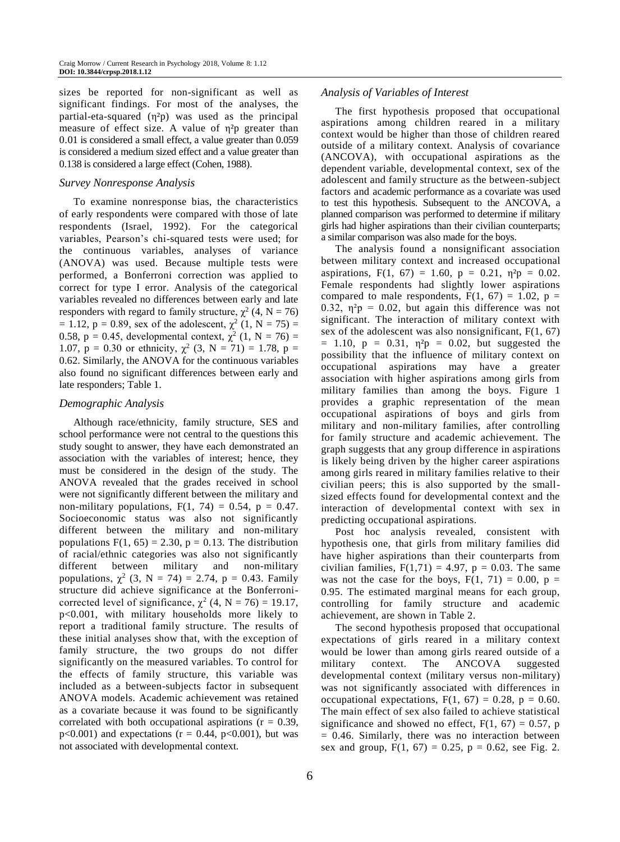sizes be reported for non-significant as well as significant findings. For most of the analyses, the partial-eta-squared  $(\eta^2 p)$  was used as the principal measure of effect size. A value of η<sup>2</sup>p greater than 0.01 is considered a small effect, a value greater than 0.059 is considered a medium sized effect and a value greater than 0.138 is considered a large effect (Cohen, 1988).

#### *Survey Nonresponse Analysis*

To examine nonresponse bias, the characteristics of early respondents were compared with those of late respondents (Israel, 1992). For the categorical variables, Pearson's chi-squared tests were used; for the continuous variables, analyses of variance (ANOVA) was used. Because multiple tests were performed, a Bonferroni correction was applied to correct for type I error. Analysis of the categorical variables revealed no differences between early and late responders with regard to family structure,  $\chi^2$  (4, N = 76) = 1.12,  $p = 0.89$ , sex of the adolescent,  $\chi^2$  (1, N = 75) = 0.58,  $p = 0.45$ , developmental context,  $\chi^2$  (1, N = 76) = 1.07,  $p = 0.30$  or ethnicity,  $\chi^2$  (3, N = 71) = 1.78, p = 0.62. Similarly, the ANOVA for the continuous variables also found no significant differences between early and late responders; Table 1.

#### *Demographic Analysis*

Although race/ethnicity, family structure, SES and school performance were not central to the questions this study sought to answer, they have each demonstrated an association with the variables of interest; hence, they must be considered in the design of the study. The ANOVA revealed that the grades received in school were not significantly different between the military and non-military populations,  $F(1, 74) = 0.54$ ,  $p = 0.47$ . Socioeconomic status was also not significantly different between the military and non-military populations  $F(1, 65) = 2.30$ ,  $p = 0.13$ . The distribution of racial/ethnic categories was also not significantly different between military and non-military populations,  $\chi^2$  (3, N = 74) = 2.74, p = 0.43. Family structure did achieve significance at the Bonferronicorrected level of significance,  $\chi^2$  (4, N = 76) = 19.17, p<0.001, with military households more likely to report a traditional family structure. The results of these initial analyses show that, with the exception of family structure, the two groups do not differ significantly on the measured variables. To control for the effects of family structure, this variable was included as a between-subjects factor in subsequent ANOVA models. Academic achievement was retained as a covariate because it was found to be significantly correlated with both occupational aspirations ( $r = 0.39$ ,  $p<0.001$ ) and expectations ( $r = 0.44$ ,  $p<0.001$ ), but was not associated with developmental context.

#### *Analysis of Variables of Interest*

The first hypothesis proposed that occupational aspirations among children reared in a military context would be higher than those of children reared outside of a military context. Analysis of covariance (ANCOVA), with occupational aspirations as the dependent variable, developmental context, sex of the adolescent and family structure as the between-subject factors and academic performance as a covariate was used to test this hypothesis. Subsequent to the ANCOVA, a planned comparison was performed to determine if military girls had higher aspirations than their civilian counterparts; a similar comparison was also made for the boys.

The analysis found a nonsignificant association between military context and increased occupational aspirations,  $F(1, 67) = 1.60$ ,  $p = 0.21$ ,  $\eta^2 p = 0.02$ . Female respondents had slightly lower aspirations compared to male respondents,  $F(1, 67) = 1.02$ ,  $p =$ 0.32,  $\eta^2 p = 0.02$ , but again this difference was not significant. The interaction of military context with sex of the adolescent was also nonsignificant,  $F(1, 67)$  $= 1.10$ ,  $p = 0.31$ ,  $\eta^2 p = 0.02$ , but suggested the possibility that the influence of military context on occupational aspirations may have a greater association with higher aspirations among girls from military families than among the boys. Figure 1 provides a graphic representation of the mean occupational aspirations of boys and girls from military and non-military families, after controlling for family structure and academic achievement. The graph suggests that any group difference in aspirations is likely being driven by the higher career aspirations among girls reared in military families relative to their civilian peers; this is also supported by the smallsized effects found for developmental context and the interaction of developmental context with sex in predicting occupational aspirations.

Post hoc analysis revealed, consistent with hypothesis one, that girls from military families did have higher aspirations than their counterparts from civilian families,  $F(1,71) = 4.97$ ,  $p = 0.03$ . The same was not the case for the boys,  $F(1, 71) = 0.00$ ,  $p =$ 0.95. The estimated marginal means for each group, controlling for family structure and academic achievement, are shown in Table 2.

The second hypothesis proposed that occupational expectations of girls reared in a military context would be lower than among girls reared outside of a military context. The ANCOVA suggested developmental context (military versus non-military) was not significantly associated with differences in occupational expectations,  $F(1, 67) = 0.28$ ,  $p = 0.60$ . The main effect of sex also failed to achieve statistical significance and showed no effect,  $F(1, 67) = 0.57$ , p  $= 0.46$ . Similarly, there was no interaction between sex and group,  $F(1, 67) = 0.25$ ,  $p = 0.62$ , see Fig. 2.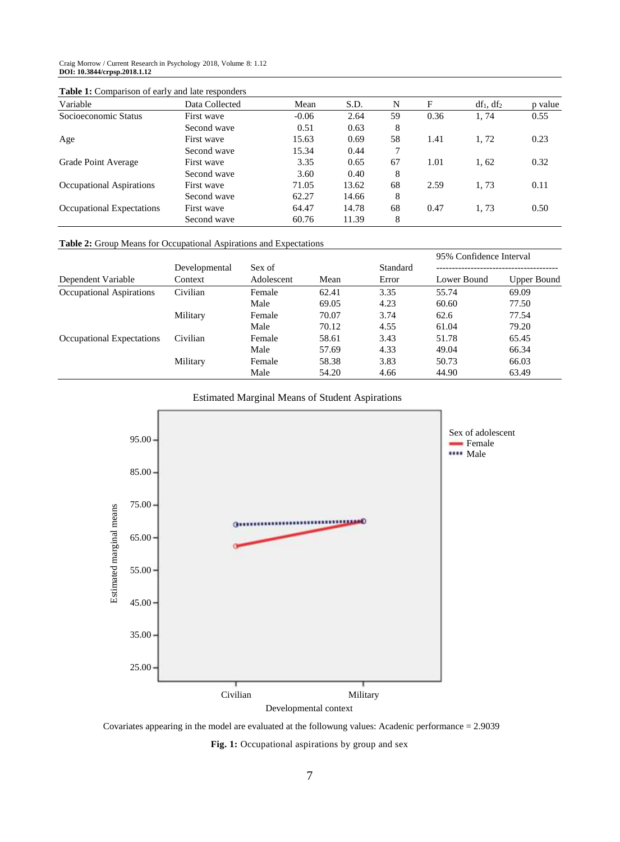Craig Morrow / Current Research in Psychology 2018, Volume 8: 1.12 **DOI: 10.3844/crpsp.2018.1.12**

|  |  |  | <b>Table 1:</b> Comparison of early and late responders |
|--|--|--|---------------------------------------------------------|
|--|--|--|---------------------------------------------------------|

| Variable                  | Data Collected | Mean    | S.D.  | N  | F    | $df_1, df_2$ | p value |
|---------------------------|----------------|---------|-------|----|------|--------------|---------|
| Socioeconomic Status      | First wave     | $-0.06$ | 2.64  | 59 | 0.36 | 1.74         | 0.55    |
|                           | Second wave    | 0.51    | 0.63  | 8  |      |              |         |
| Age                       | First wave     | 15.63   | 0.69  | 58 | 1.41 | 1,72         | 0.23    |
|                           | Second wave    | 15.34   | 0.44  |    |      |              |         |
| Grade Point Average       | First wave     | 3.35    | 0.65  | 67 | 1.01 | 1,62         | 0.32    |
|                           | Second wave    | 3.60    | 0.40  | 8  |      |              |         |
| Occupational Aspirations  | First wave     | 71.05   | 13.62 | 68 | 2.59 | 1,73         | 0.11    |
|                           | Second wave    | 62.27   | 14.66 | 8  |      |              |         |
| Occupational Expectations | First wave     | 64.47   | 14.78 | 68 | 0.47 | 1,73         | 0.50    |
|                           | Second wave    | 60.76   | 11.39 | 8  |      |              |         |

#### **Table 2:** Group Means for Occupational Aspirations and Expectations

|                           | Developmental<br>Context |            |       | Standard | 95% Confidence Interval |                    |
|---------------------------|--------------------------|------------|-------|----------|-------------------------|--------------------|
|                           |                          | Sex of     |       |          |                         |                    |
| Dependent Variable        |                          | Adolescent | Mean  | Error    | Lower Bound             | <b>Upper Bound</b> |
| Occupational Aspirations  | Civilian                 | Female     | 62.41 | 3.35     | 55.74                   | 69.09              |
|                           |                          | Male       | 69.05 | 4.23     | 60.60                   | 77.50              |
|                           | Military                 | Female     | 70.07 | 3.74     | 62.6                    | 77.54              |
|                           |                          | Male       | 70.12 | 4.55     | 61.04                   | 79.20              |
| Occupational Expectations | Civilian                 | Female     | 58.61 | 3.43     | 51.78                   | 65.45              |
|                           |                          | Male       | 57.69 | 4.33     | 49.04                   | 66.34              |
|                           | Military                 | Female     | 58.38 | 3.83     | 50.73                   | 66.03              |
|                           |                          | Male       | 54.20 | 4.66     | 44.90                   | 63.49              |





Covariates appearing in the model are evaluated at the followung values: Acadenic performance = 2.9039

**Fig. 1:** Occupational aspirations by group and sex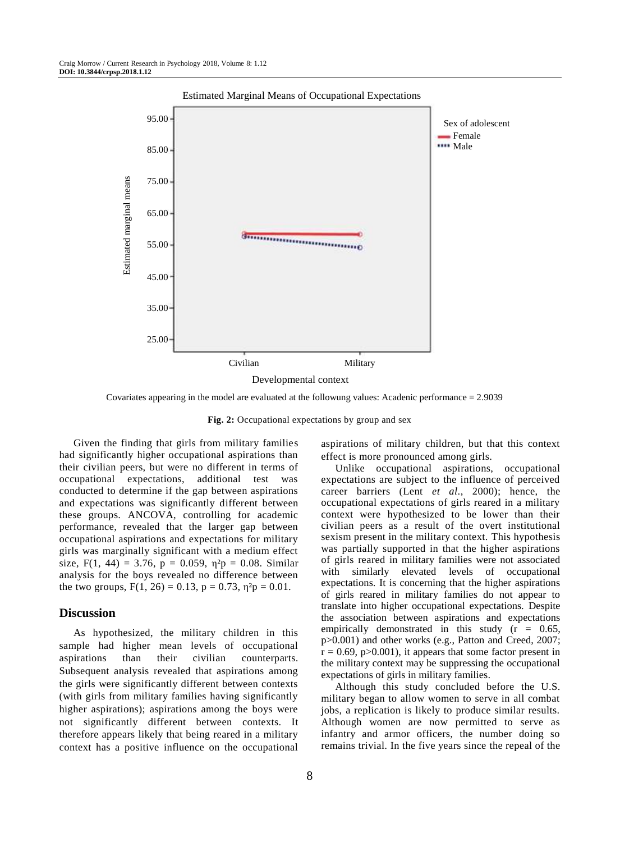

Covariates appearing in the model are evaluated at the followung values: Acadenic performance = 2.9039

**Fig. 2:** Occupational expectations by group and sex

Given the finding that girls from military families had significantly higher occupational aspirations than their civilian peers, but were no different in terms of occupational expectations, additional test was conducted to determine if the gap between aspirations and expectations was significantly different between these groups. ANCOVA, controlling for academic performance, revealed that the larger gap between occupational aspirations and expectations for military girls was marginally significant with a medium effect size, F(1, 44) = 3.76, p = 0.059,  $\eta^2 p = 0.08$ . Similar analysis for the boys revealed no difference between the two groups,  $F(1, 26) = 0.13$ ,  $p = 0.73$ ,  $p^2p = 0.01$ .

## **Discussion**

As hypothesized, the military children in this sample had higher mean levels of occupational aspirations than their civilian counterparts. Subsequent analysis revealed that aspirations among the girls were significantly different between contexts (with girls from military families having significantly higher aspirations); aspirations among the boys were not significantly different between contexts. It therefore appears likely that being reared in a military context has a positive influence on the occupational

8

aspirations of military children, but that this context effect is more pronounced among girls.

Unlike occupational aspirations, occupational expectations are subject to the influence of perceived career barriers (Lent *et al*., 2000); hence, the occupational expectations of girls reared in a military context were hypothesized to be lower than their civilian peers as a result of the overt institutional sexism present in the military context. This hypothesis was partially supported in that the higher aspirations of girls reared in military families were not associated with similarly elevated levels of occupational expectations. It is concerning that the higher aspirations of girls reared in military families do not appear to translate into higher occupational expectations. Despite the association between aspirations and expectations empirically demonstrated in this study  $(r = 0.65)$ , p>0.001) and other works (e.g., Patton and Creed, 2007;  $r = 0.69$ , p $> 0.001$ ), it appears that some factor present in the military context may be suppressing the occupational expectations of girls in military families.

Although this study concluded before the U.S. military began to allow women to serve in all combat jobs, a replication is likely to produce similar results. Although women are now permitted to serve as infantry and armor officers, the number doing so remains trivial. In the five years since the repeal of the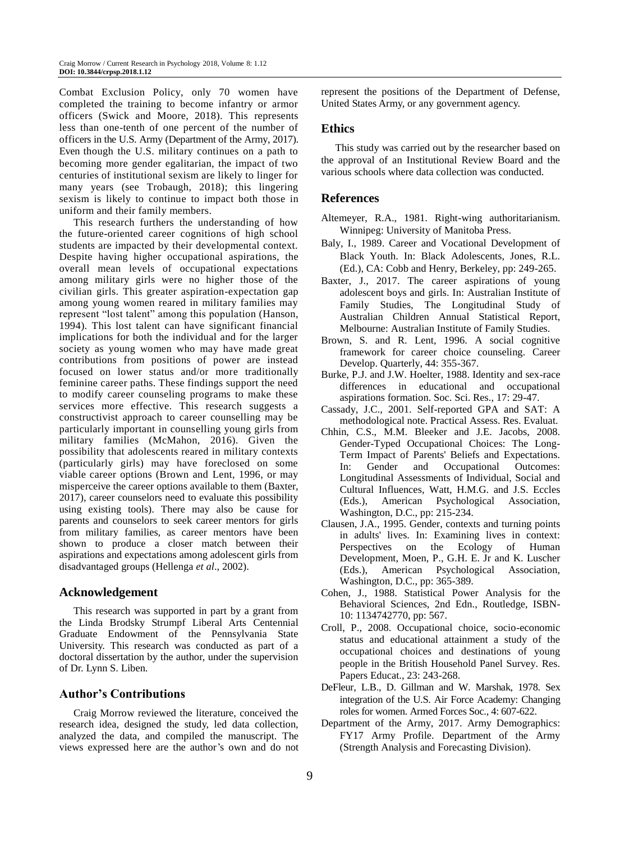Combat Exclusion Policy, only 70 women have completed the training to become infantry or armor officers (Swick and Moore, 2018). This represents less than one-tenth of one percent of the number of officers in the U.S. Army (Department of the Army, 2017). Even though the U.S. military continues on a path to becoming more gender egalitarian, the impact of two centuries of institutional sexism are likely to linger for many years (see Trobaugh, 2018); this lingering sexism is likely to continue to impact both those in uniform and their family members.

This research furthers the understanding of how the future-oriented career cognitions of high school students are impacted by their developmental context. Despite having higher occupational aspirations, the overall mean levels of occupational expectations among military girls were no higher those of the civilian girls. This greater aspiration-expectation gap among young women reared in military families may represent "lost talent" among this population (Hanson, 1994). This lost talent can have significant financial implications for both the individual and for the larger society as young women who may have made great contributions from positions of power are instead focused on lower status and/or more traditionally feminine career paths. These findings support the need to modify career counseling programs to make these services more effective. This research suggests a constructivist approach to career counselling may be particularly important in counselling young girls from military families (McMahon, 2016). Given the possibility that adolescents reared in military contexts (particularly girls) may have foreclosed on some viable career options (Brown and Lent, 1996, or may misperceive the career options available to them (Baxter, 2017), career counselors need to evaluate this possibility using existing tools). There may also be cause for parents and counselors to seek career mentors for girls from military families, as career mentors have been shown to produce a closer match between their aspirations and expectations among adolescent girls from disadvantaged groups (Hellenga *et al*., 2002).

## **Acknowledgement**

This research was supported in part by a grant from the Linda Brodsky Strumpf Liberal Arts Centennial Graduate Endowment of the Pennsylvania State University. This research was conducted as part of a doctoral dissertation by the author, under the supervision of Dr. Lynn S. Liben.

## **Author's Contributions**

Craig Morrow reviewed the literature, conceived the research idea, designed the study, led data collection, analyzed the data, and compiled the manuscript. The views expressed here are the author's own and do not represent the positions of the Department of Defense, United States Army, or any government agency.

#### **Ethics**

This study was carried out by the researcher based on the approval of an Institutional Review Board and the various schools where data collection was conducted.

#### **References**

- Altemeyer, R.A., 1981. Right-wing authoritarianism. Winnipeg: University of Manitoba Press.
- Baly, I., 1989. Career and Vocational Development of Black Youth. In: Black Adolescents, Jones, R.L. (Ed.), CA: Cobb and Henry, Berkeley, pp: 249-265.
- Baxter, J., 2017. The career aspirations of young adolescent boys and girls. In: Australian Institute of Family Studies, The Longitudinal Study of Australian Children Annual Statistical Report, Melbourne: Australian Institute of Family Studies.
- Brown, S. and R. Lent, 1996. A social cognitive framework for career choice counseling. Career Develop. Quarterly, 44: 355-367.
- Burke, P.J. and J.W. Hoelter, 1988. Identity and sex-race differences in educational and occupational aspirations formation. Soc. Sci. Res., 17: 29-47.
- Cassady, J.C., 2001. Self-reported GPA and SAT: A methodological note. Practical Assess. Res. Evaluat.
- Chhin, C.S., M.M. Bleeker and J.E. Jacobs, 2008. Gender-Typed Occupational Choices: The Long-Term Impact of Parents' Beliefs and Expectations. In: Gender and Occupational Outcomes: Longitudinal Assessments of Individual, Social and Cultural Influences, Watt, H.M.G. and J.S. Eccles (Eds.), American Psychological Association, Washington, D.C., pp: 215-234.
- Clausen, J.A., 1995. Gender, contexts and turning points in adults' lives. In: Examining lives in context: Perspectives on the Ecology of Human Development, Moen, P., G.H. E. Jr and K. Luscher (Eds.), American Psychological Association, Washington, D.C., pp: 365-389.
- Cohen, J., 1988. Statistical Power Analysis for the Behavioral Sciences, 2nd Edn., Routledge, ISBN-10: 1134742770, pp: 567.
- Croll, P., 2008. Occupational choice, socio-economic status and educational attainment a study of the occupational choices and destinations of young people in the British Household Panel Survey. Res. Papers Educat., 23: 243-268.
- DeFleur, L.B., D. Gillman and W. Marshak, 1978. Sex integration of the U.S. Air Force Academy: Changing roles for women. Armed Forces Soc., 4: 607-622.
- Department of the Army, 2017. Army Demographics: FY17 Army Profile. Department of the Army (Strength Analysis and Forecasting Division).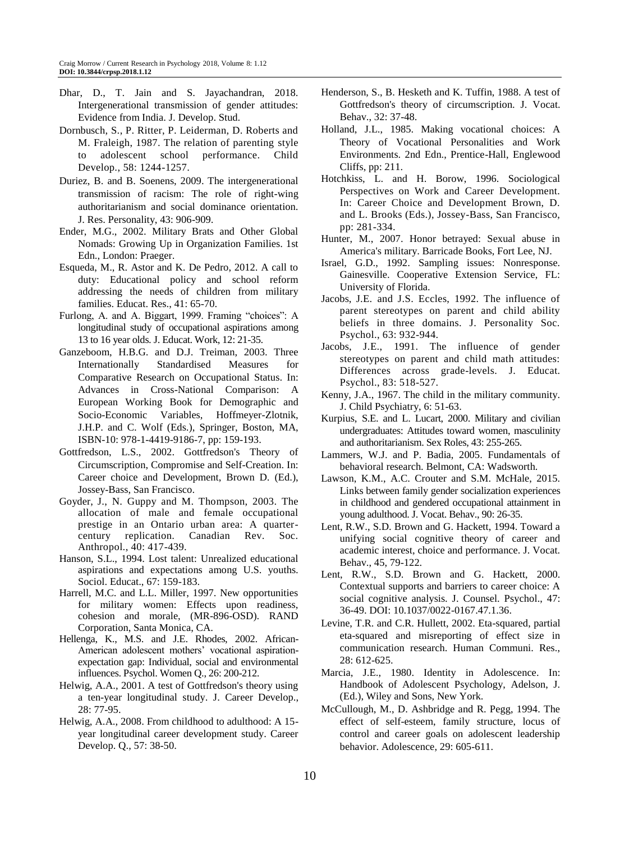- Dhar, D., T. Jain and S. Jayachandran, 2018. Intergenerational transmission of gender attitudes: Evidence from India. J. Develop. Stud.
- Dornbusch, S., P. Ritter, P. Leiderman, D. Roberts and M. Fraleigh, 1987. The relation of parenting style to adolescent school performance. Child Develop., 58: 1244-1257.
- Duriez, B. and B. Soenens, 2009. The intergenerational transmission of racism: The role of right-wing authoritarianism and social dominance orientation. J. Res. Personality, 43: 906-909.
- Ender, M.G., 2002. Military Brats and Other Global Nomads: Growing Up in Organization Families. 1st Edn., London: Praeger.
- Esqueda, M., R. Astor and K. De Pedro, 2012. A call to duty: Educational policy and school reform addressing the needs of children from military families. Educat. Res., 41: 65-70.
- Furlong, A. and A. Biggart, 1999. Framing "choices": A longitudinal study of occupational aspirations among 13 to 16 year olds. J. Educat. Work, 12: 21-35.
- Ganzeboom, H.B.G. and D.J. Treiman, 2003. Three Internationally Standardised Measures for Comparative Research on Occupational Status. In: Advances in Cross-National Comparison: A European Working Book for Demographic and Socio-Economic Variables, Hoffmeyer-Zlotnik, J.H.P. and C. Wolf (Eds.), Springer, Boston, MA, ISBN-10: 978-1-4419-9186-7, pp: 159-193.
- Gottfredson, L.S., 2002. Gottfredson's Theory of Circumscription, Compromise and Self-Creation. In: Career choice and Development, Brown D. (Ed.), Jossey-Bass, San Francisco.
- Goyder, J., N. Guppy and M. Thompson, 2003. The allocation of male and female occupational prestige in an Ontario urban area: A quartercentury replication. Canadian Rev. Soc. Anthropol., 40: 417-439.
- Hanson, S.L., 1994. Lost talent: Unrealized educational aspirations and expectations among U.S. youths. Sociol. Educat., 67: 159-183.
- Harrell, M.C. and L.L. Miller, 1997. New opportunities for military women: Effects upon readiness, cohesion and morale, (MR-896-OSD). RAND Corporation, Santa Monica, CA.
- Hellenga, K., M.S. and J.E. Rhodes, 2002. African-American adolescent mothers' vocational aspirationexpectation gap: Individual, social and environmental influences. Psychol. Women Q., 26: 200-212.
- Helwig, A.A., 2001. A test of Gottfredson's theory using a ten-year longitudinal study. J. Career Develop., 28: 77-95.
- Helwig, A.A., 2008. From childhood to adulthood: A 15 year longitudinal career development study. Career Develop. Q., 57: 38-50.
- Henderson, S., B. Hesketh and K. Tuffin, 1988. A test of Gottfredson's theory of circumscription. J. Vocat. Behav., 32: 37-48.
- Holland, J.L., 1985. Making vocational choices: A Theory of Vocational Personalities and Work Environments. 2nd Edn., Prentice-Hall, Englewood Cliffs, pp: 211.
- Hotchkiss, L. and H. Borow, 1996. Sociological Perspectives on Work and Career Development. In: Career Choice and Development Brown, D. and L. Brooks (Eds.), Jossey-Bass, San Francisco, pp: 281-334.
- Hunter, M., 2007. Honor betrayed: Sexual abuse in America's military. Barricade Books, Fort Lee, NJ.
- Israel, G.D., 1992. Sampling issues: Nonresponse. Gainesville. Cooperative Extension Service, FL: University of Florida.
- Jacobs, J.E. and J.S. Eccles, 1992. The influence of parent stereotypes on parent and child ability beliefs in three domains. J. Personality Soc. Psychol., 63: 932-944.
- Jacobs, J.E., 1991. The influence of gender stereotypes on parent and child math attitudes: Differences across grade-levels. J. Educat. Psychol., 83: 518-527.
- Kenny, J.A., 1967. The child in the military community. J. Child Psychiatry, 6: 51-63.
- Kurpius, S.E. and L. Lucart, 2000. Military and civilian undergraduates: Attitudes toward women, masculinity and authoritarianism. Sex Roles, 43: 255-265.
- Lammers, W.J. and P. Badia, 2005. Fundamentals of behavioral research. Belmont, CA: Wadsworth.
- Lawson, K.M., A.C. Crouter and S.M. McHale, 2015. Links between family gender socialization experiences in childhood and gendered occupational attainment in young adulthood. J. Vocat. Behav., 90: 26-35.
- Lent, R.W., S.D. Brown and G. Hackett, 1994. Toward a unifying social cognitive theory of career and academic interest, choice and performance. J. Vocat. Behav., 45, 79-122.
- Lent, R.W., S.D. Brown and G. Hackett, 2000. Contextual supports and barriers to career choice: A social cognitive analysis. J. Counsel. Psychol., 47: 36-49. DOI: 10.1037/0022-0167.47.1.36.
- Levine, T.R. and C.R. Hullett, 2002. Eta-squared, partial eta-squared and misreporting of effect size in communication research. Human Communi. Res., 28: 612-625.
- Marcia, J.E., 1980. Identity in Adolescence. In: Handbook of Adolescent Psychology, Adelson, J. (Ed.), Wiley and Sons, New York.
- McCullough, M., D. Ashbridge and R. Pegg, 1994. The effect of self-esteem, family structure, locus of control and career goals on adolescent leadership behavior. Adolescence, 29: 605-611.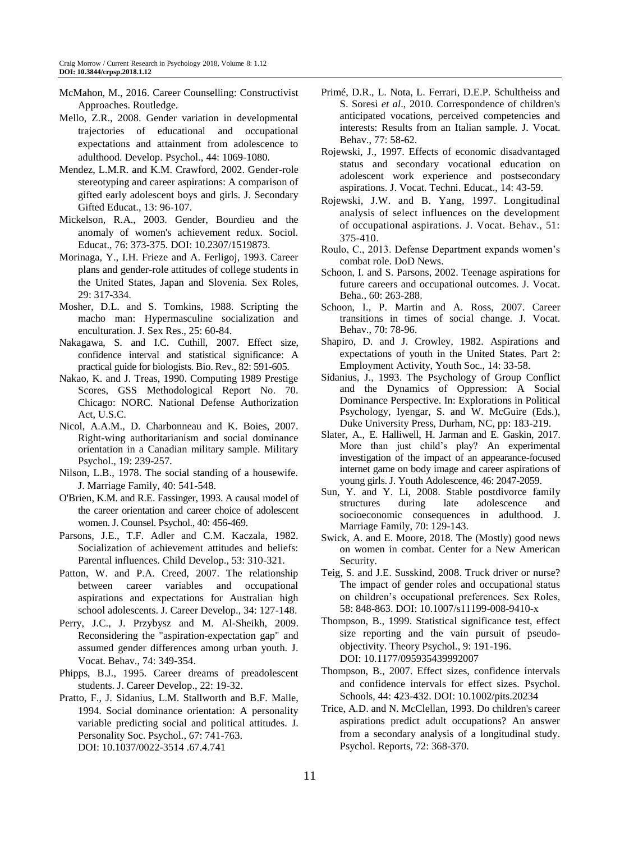- McMahon, M., 2016. Career Counselling: Constructivist Approaches. Routledge.
- Mello, Z.R., 2008. Gender variation in developmental trajectories of educational and occupational expectations and attainment from adolescence to adulthood. Develop. Psychol., 44: 1069-1080.
- Mendez, L.M.R. and K.M. Crawford, 2002. Gender-role stereotyping and career aspirations: A comparison of gifted early adolescent boys and girls. J. Secondary Gifted Educat., 13: 96-107.
- Mickelson, R.A., 2003. Gender, Bourdieu and the anomaly of women's achievement redux. Sociol. Educat., 76: 373-375. DOI: 10.2307/1519873.
- Morinaga, Y., I.H. Frieze and A. Ferligoj, 1993. Career plans and gender-role attitudes of college students in the United States, Japan and Slovenia. Sex Roles, 29: 317-334.
- Mosher, D.L. and S. Tomkins, 1988. Scripting the macho man: Hypermasculine socialization and enculturation. J. Sex Res., 25: 60-84.
- Nakagawa, S. and I.C. Cuthill, 2007. Effect size, confidence interval and statistical significance: A practical guide for biologists. Bio. Rev., 82: 591-605.
- Nakao, K. and J. Treas, 1990. Computing 1989 Prestige Scores, GSS Methodological Report No. 70. Chicago: NORC. National Defense Authorization Act, U.S.C.
- Nicol, A.A.M., D. Charbonneau and K. Boies, 2007. Right-wing authoritarianism and social dominance orientation in a Canadian military sample. Military Psychol., 19: 239-257.
- Nilson, L.B., 1978. The social standing of a housewife. J. Marriage Family, 40: 541-548.
- O'Brien, K.M. and R.E. Fassinger, 1993. A causal model of the career orientation and career choice of adolescent women. J. Counsel. Psychol., 40: 456-469.
- Parsons, J.E., T.F. Adler and C.M. Kaczala, 1982. Socialization of achievement attitudes and beliefs: Parental influences. Child Develop., 53: 310-321.
- Patton, W. and P.A. Creed, 2007. The relationship between career variables and occupational aspirations and expectations for Australian high school adolescents. J. Career Develop., 34: 127-148.
- Perry, J.C., J. Przybysz and M. Al-Sheikh, 2009. Reconsidering the "aspiration-expectation gap" and assumed gender differences among urban youth. J. Vocat. Behav., 74: 349-354.
- Phipps, B.J., 1995. Career dreams of preadolescent students. J. Career Develop., 22: 19-32.
- Pratto, F., J. Sidanius, L.M. Stallworth and B.F. Malle, 1994. Social dominance orientation: A personality variable predicting social and political attitudes. J. Personality Soc. Psychol., 67: 741-763. DOI: 10.1037/0022-3514 .67.4.741
- Primé, D.R., L. Nota, L. Ferrari, D.E.P. Schultheiss and S. Soresi *et al*., 2010. Correspondence of children's anticipated vocations, perceived competencies and interests: Results from an Italian sample. J. Vocat. Behav., 77: 58-62.
- Rojewski, J., 1997. Effects of economic disadvantaged status and secondary vocational education on adolescent work experience and postsecondary aspirations. J. Vocat. Techni. Educat., 14: 43-59.
- Rojewski, J.W. and B. Yang, 1997. Longitudinal analysis of select influences on the development of occupational aspirations. J. Vocat. Behav., 51: 375-410.
- Roulo, C., 2013. Defense Department expands women's combat role. DoD News.
- Schoon, I. and S. Parsons, 2002. Teenage aspirations for future careers and occupational outcomes. J. Vocat. Beha., 60: 263-288.
- Schoon, I., P. Martin and A. Ross, 2007. Career transitions in times of social change. J. Vocat. Behav., 70: 78-96.
- Shapiro, D. and J. Crowley, 1982. Aspirations and expectations of youth in the United States. Part 2: Employment Activity, Youth Soc., 14: 33-58.
- Sidanius, J., 1993. The Psychology of Group Conflict and the Dynamics of Oppression: A Social Dominance Perspective. In: Explorations in Political Psychology, Iyengar, S. and W. McGuire (Eds.), Duke University Press, Durham, NC, pp: 183-219.
- Slater, A., E. Halliwell, H. Jarman and E. Gaskin, 2017. More than just child's play? An experimental investigation of the impact of an appearance-focused internet game on body image and career aspirations of young girls. J. Youth Adolescence, 46: 2047-2059.
- Sun, Y. and Y. Li, 2008. Stable postdivorce family structures during late adolescence and socioeconomic consequences in adulthood. J. Marriage Family, 70: 129-143.
- Swick, A. and E. Moore, 2018. The (Mostly) good news on women in combat. Center for a New American Security.
- Teig, S. and J.E. Susskind, 2008. Truck driver or nurse? The impact of gender roles and occupational status on children's occupational preferences. Sex Roles, 58: 848-863. DOI: 10.1007/s11199-008-9410-x
- Thompson, B., 1999. Statistical significance test, effect size reporting and the vain pursuit of pseudoobjectivity. Theory Psychol., 9: 191-196. DOI: 10.1177/095935439992007
- Thompson, B., 2007. Effect sizes, confidence intervals and confidence intervals for effect sizes. Psychol. Schools, 44: 423-432. DOI: 10.1002/pits.20234
- Trice, A.D. and N. McClellan, 1993. Do children's career aspirations predict adult occupations? An answer from a secondary analysis of a longitudinal study. Psychol. Reports, 72: 368-370.